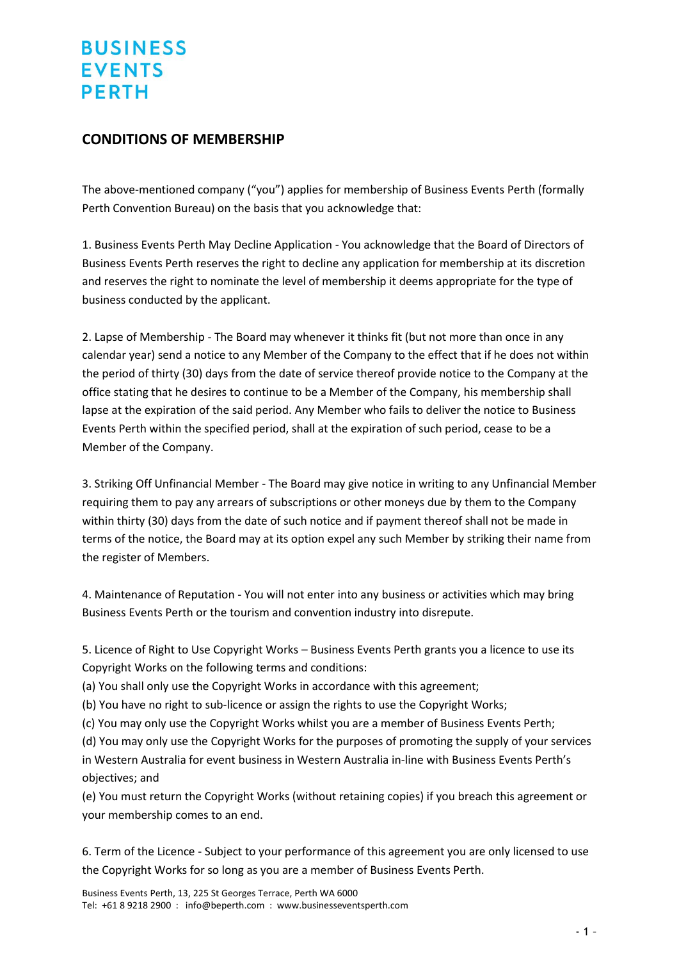## **BUSINESS EVENTS PERTH**

## **CONDITIONS OF MEMBERSHIP**

The above-mentioned company ("you") applies for membership of Business Events Perth (formally Perth Convention Bureau) on the basis that you acknowledge that:

1. Business Events Perth May Decline Application - You acknowledge that the Board of Directors of Business Events Perth reserves the right to decline any application for membership at its discretion and reserves the right to nominate the level of membership it deems appropriate for the type of business conducted by the applicant.

2. Lapse of Membership - The Board may whenever it thinks fit (but not more than once in any calendar year) send a notice to any Member of the Company to the effect that if he does not within the period of thirty (30) days from the date of service thereof provide notice to the Company at the office stating that he desires to continue to be a Member of the Company, his membership shall lapse at the expiration of the said period. Any Member who fails to deliver the notice to Business Events Perth within the specified period, shall at the expiration of such period, cease to be a Member of the Company.

3. Striking Off Unfinancial Member - The Board may give notice in writing to any Unfinancial Member requiring them to pay any arrears of subscriptions or other moneys due by them to the Company within thirty (30) days from the date of such notice and if payment thereof shall not be made in terms of the notice, the Board may at its option expel any such Member by striking their name from the register of Members.

4. Maintenance of Reputation - You will not enter into any business or activities which may bring Business Events Perth or the tourism and convention industry into disrepute.

5. Licence of Right to Use Copyright Works – Business Events Perth grants you a licence to use its Copyright Works on the following terms and conditions:

(a) You shall only use the Copyright Works in accordance with this agreement;

(b) You have no right to sub-licence or assign the rights to use the Copyright Works;

(c) You may only use the Copyright Works whilst you are a member of Business Events Perth;

(d) You may only use the Copyright Works for the purposes of promoting the supply of your services in Western Australia for event business in Western Australia in-line with Business Events Perth's objectives; and

(e) You must return the Copyright Works (without retaining copies) if you breach this agreement or your membership comes to an end.

6. Term of the Licence - Subject to your performance of this agreement you are only licensed to use the Copyright Works for so long as you are a member of Business Events Perth.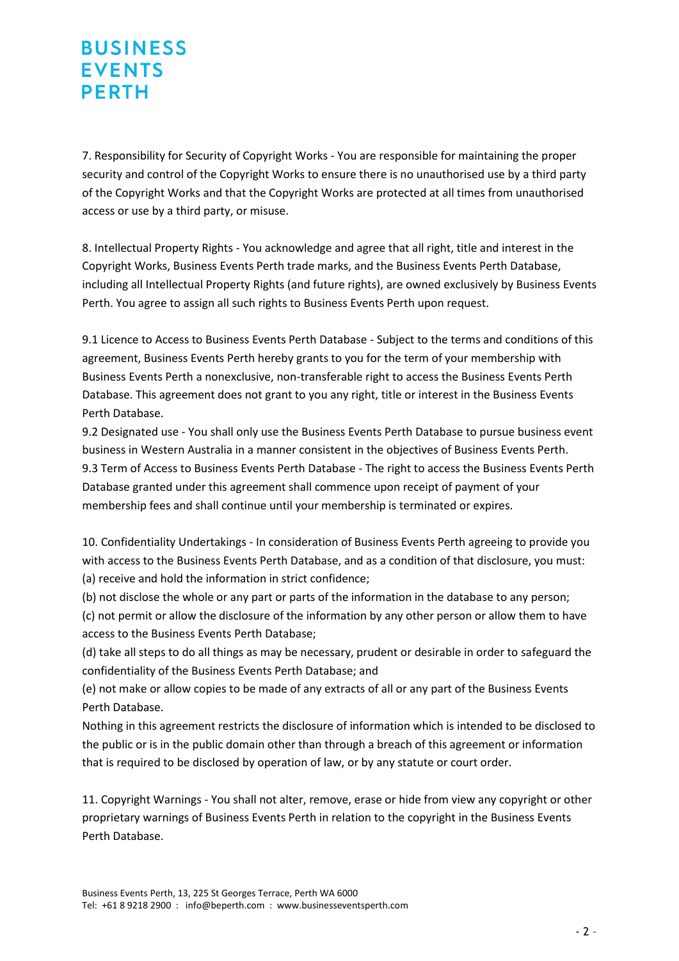## **BUSINESS EVENTS PERTH**

7. Responsibility for Security of Copyright Works - You are responsible for maintaining the proper security and control of the Copyright Works to ensure there is no unauthorised use by a third party of the Copyright Works and that the Copyright Works are protected at all times from unauthorised access or use by a third party, or misuse.

8. Intellectual Property Rights - You acknowledge and agree that all right, title and interest in the Copyright Works, Business Events Perth trade marks, and the Business Events Perth Database, including all Intellectual Property Rights (and future rights), are owned exclusively by Business Events Perth. You agree to assign all such rights to Business Events Perth upon request.

9.1 Licence to Access to Business Events Perth Database - Subject to the terms and conditions of this agreement, Business Events Perth hereby grants to you for the term of your membership with Business Events Perth a nonexclusive, non-transferable right to access the Business Events Perth Database. This agreement does not grant to you any right, title or interest in the Business Events Perth Database.

9.2 Designated use - You shall only use the Business Events Perth Database to pursue business event business in Western Australia in a manner consistent in the objectives of Business Events Perth. 9.3 Term of Access to Business Events Perth Database - The right to access the Business Events Perth Database granted under this agreement shall commence upon receipt of payment of your membership fees and shall continue until your membership is terminated or expires.

10. Confidentiality Undertakings - In consideration of Business Events Perth agreeing to provide you with access to the Business Events Perth Database, and as a condition of that disclosure, you must: (a) receive and hold the information in strict confidence;

(b) not disclose the whole or any part or parts of the information in the database to any person;

(c) not permit or allow the disclosure of the information by any other person or allow them to have access to the Business Events Perth Database;

(d) take all steps to do all things as may be necessary, prudent or desirable in order to safeguard the confidentiality of the Business Events Perth Database; and

(e) not make or allow copies to be made of any extracts of all or any part of the Business Events Perth Database.

Nothing in this agreement restricts the disclosure of information which is intended to be disclosed to the public or is in the public domain other than through a breach of this agreement or information that is required to be disclosed by operation of law, or by any statute or court order.

11. Copyright Warnings - You shall not alter, remove, erase or hide from view any copyright or other proprietary warnings of Business Events Perth in relation to the copyright in the Business Events Perth Database.